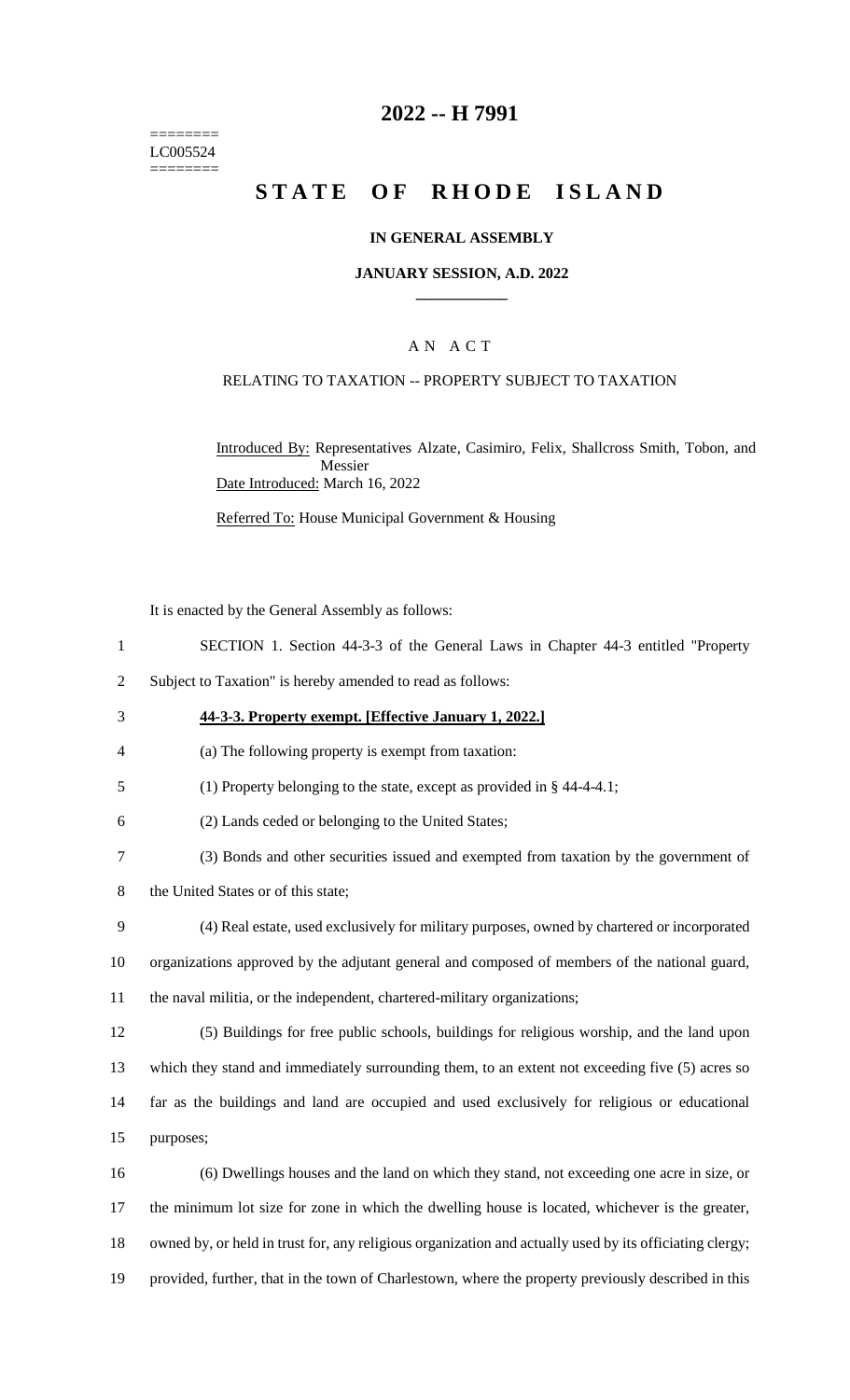======== LC005524 ========

### **2022 -- H 7991**

# **STATE OF RHODE ISLAND**

#### **IN GENERAL ASSEMBLY**

#### **JANUARY SESSION, A.D. 2022 \_\_\_\_\_\_\_\_\_\_\_\_**

### A N A C T

### RELATING TO TAXATION -- PROPERTY SUBJECT TO TAXATION

Introduced By: Representatives Alzate, Casimiro, Felix, Shallcross Smith, Tobon, and Messier Date Introduced: March 16, 2022

Referred To: House Municipal Government & Housing

It is enacted by the General Assembly as follows:

- 1 SECTION 1. Section 44-3-3 of the General Laws in Chapter 44-3 entitled "Property
- 2 Subject to Taxation" is hereby amended to read as follows:
- 3 **44-3-3. Property exempt. [Effective January 1, 2022.]**
- 4 (a) The following property is exempt from taxation:
- 5 (1) Property belonging to the state, except as provided in § 44-4-4.1;
- 6 (2) Lands ceded or belonging to the United States;
- 7 (3) Bonds and other securities issued and exempted from taxation by the government of
- 8 the United States or of this state;
- 9 (4) Real estate, used exclusively for military purposes, owned by chartered or incorporated 10 organizations approved by the adjutant general and composed of members of the national guard,
- 11 the naval militia, or the independent, chartered-military organizations;
- 12 (5) Buildings for free public schools, buildings for religious worship, and the land upon 13 which they stand and immediately surrounding them, to an extent not exceeding five (5) acres so 14 far as the buildings and land are occupied and used exclusively for religious or educational 15 purposes;
- 16 (6) Dwellings houses and the land on which they stand, not exceeding one acre in size, or 17 the minimum lot size for zone in which the dwelling house is located, whichever is the greater, 18 owned by, or held in trust for, any religious organization and actually used by its officiating clergy; 19 provided, further, that in the town of Charlestown, where the property previously described in this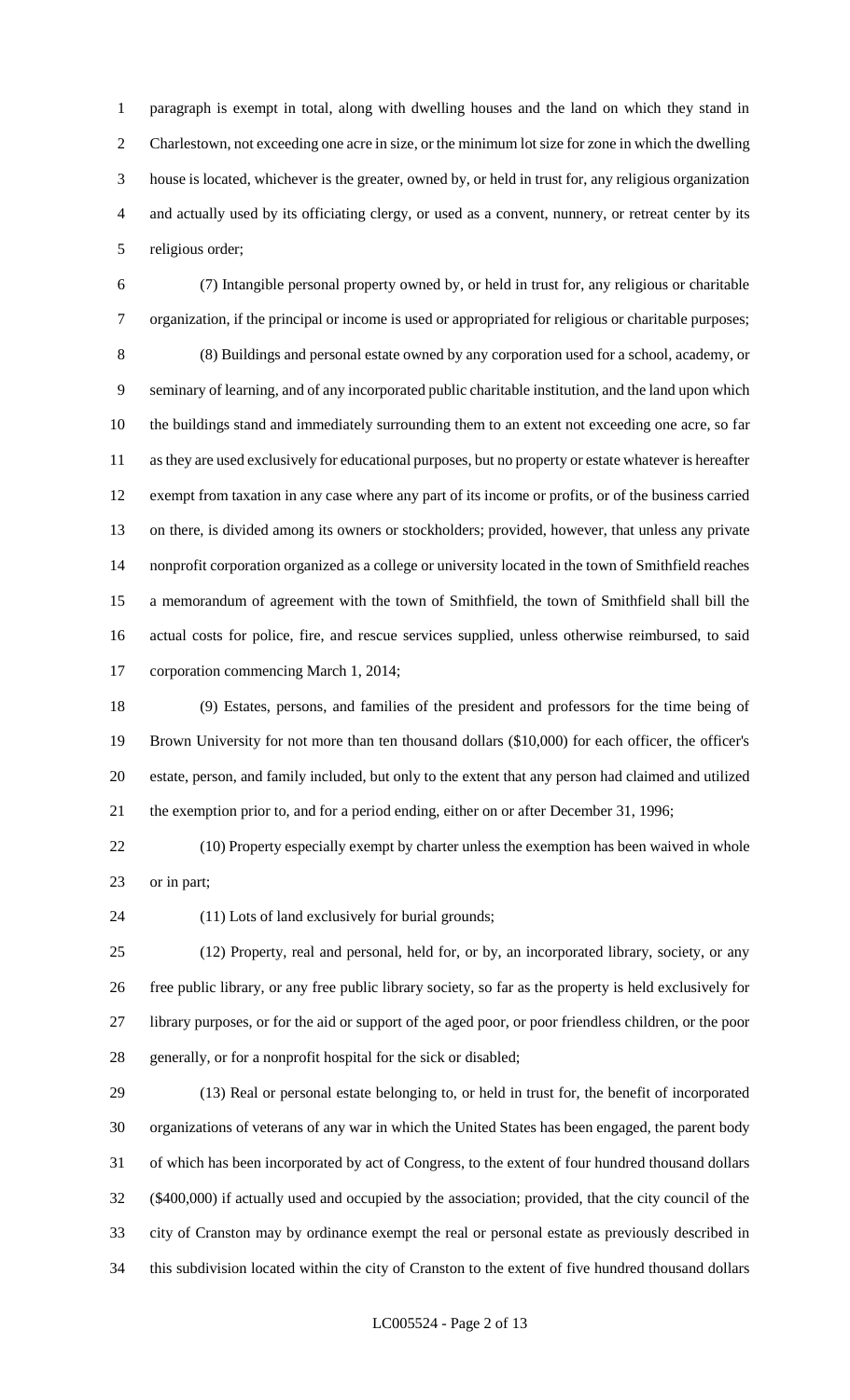paragraph is exempt in total, along with dwelling houses and the land on which they stand in Charlestown, not exceeding one acre in size, or the minimum lot size for zone in which the dwelling house is located, whichever is the greater, owned by, or held in trust for, any religious organization and actually used by its officiating clergy, or used as a convent, nunnery, or retreat center by its religious order;

 (7) Intangible personal property owned by, or held in trust for, any religious or charitable organization, if the principal or income is used or appropriated for religious or charitable purposes; (8) Buildings and personal estate owned by any corporation used for a school, academy, or seminary of learning, and of any incorporated public charitable institution, and the land upon which the buildings stand and immediately surrounding them to an extent not exceeding one acre, so far as they are used exclusively for educational purposes, but no property or estate whatever is hereafter exempt from taxation in any case where any part of its income or profits, or of the business carried on there, is divided among its owners or stockholders; provided, however, that unless any private nonprofit corporation organized as a college or university located in the town of Smithfield reaches a memorandum of agreement with the town of Smithfield, the town of Smithfield shall bill the actual costs for police, fire, and rescue services supplied, unless otherwise reimbursed, to said corporation commencing March 1, 2014;

 (9) Estates, persons, and families of the president and professors for the time being of Brown University for not more than ten thousand dollars (\$10,000) for each officer, the officer's estate, person, and family included, but only to the extent that any person had claimed and utilized the exemption prior to, and for a period ending, either on or after December 31, 1996;

 (10) Property especially exempt by charter unless the exemption has been waived in whole or in part;

(11) Lots of land exclusively for burial grounds;

 (12) Property, real and personal, held for, or by, an incorporated library, society, or any free public library, or any free public library society, so far as the property is held exclusively for library purposes, or for the aid or support of the aged poor, or poor friendless children, or the poor generally, or for a nonprofit hospital for the sick or disabled;

 (13) Real or personal estate belonging to, or held in trust for, the benefit of incorporated organizations of veterans of any war in which the United States has been engaged, the parent body of which has been incorporated by act of Congress, to the extent of four hundred thousand dollars (\$400,000) if actually used and occupied by the association; provided, that the city council of the city of Cranston may by ordinance exempt the real or personal estate as previously described in this subdivision located within the city of Cranston to the extent of five hundred thousand dollars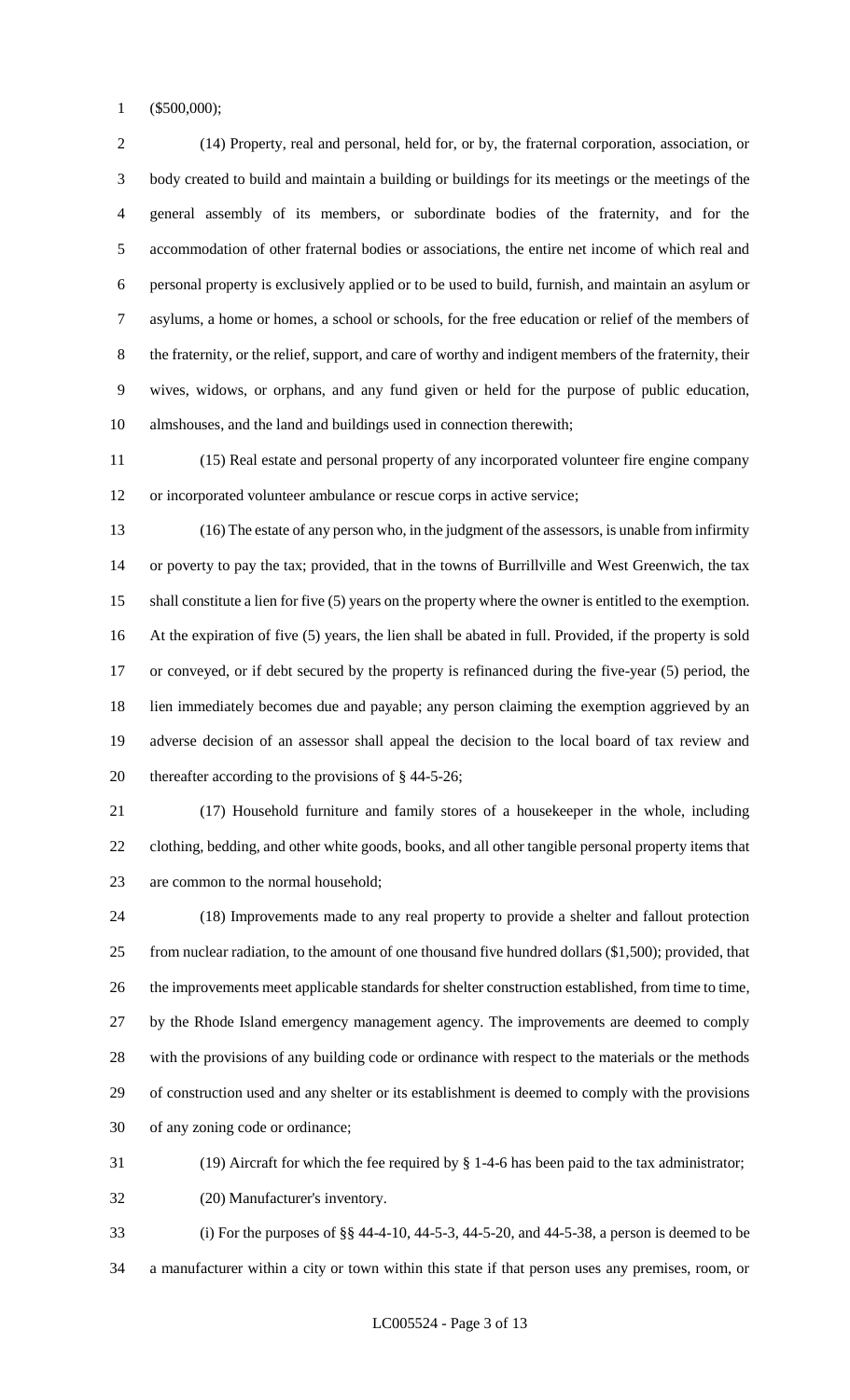(\$500,000);

 (14) Property, real and personal, held for, or by, the fraternal corporation, association, or body created to build and maintain a building or buildings for its meetings or the meetings of the general assembly of its members, or subordinate bodies of the fraternity, and for the accommodation of other fraternal bodies or associations, the entire net income of which real and personal property is exclusively applied or to be used to build, furnish, and maintain an asylum or asylums, a home or homes, a school or schools, for the free education or relief of the members of the fraternity, or the relief, support, and care of worthy and indigent members of the fraternity, their wives, widows, or orphans, and any fund given or held for the purpose of public education, almshouses, and the land and buildings used in connection therewith;

 (15) Real estate and personal property of any incorporated volunteer fire engine company or incorporated volunteer ambulance or rescue corps in active service;

 (16) The estate of any person who, in the judgment of the assessors, is unable from infirmity or poverty to pay the tax; provided, that in the towns of Burrillville and West Greenwich, the tax shall constitute a lien for five (5) years on the property where the owner is entitled to the exemption. At the expiration of five (5) years, the lien shall be abated in full. Provided, if the property is sold or conveyed, or if debt secured by the property is refinanced during the five-year (5) period, the lien immediately becomes due and payable; any person claiming the exemption aggrieved by an adverse decision of an assessor shall appeal the decision to the local board of tax review and thereafter according to the provisions of § 44-5-26;

 (17) Household furniture and family stores of a housekeeper in the whole, including clothing, bedding, and other white goods, books, and all other tangible personal property items that are common to the normal household;

 (18) Improvements made to any real property to provide a shelter and fallout protection from nuclear radiation, to the amount of one thousand five hundred dollars (\$1,500); provided, that the improvements meet applicable standards for shelter construction established, from time to time, by the Rhode Island emergency management agency. The improvements are deemed to comply with the provisions of any building code or ordinance with respect to the materials or the methods of construction used and any shelter or its establishment is deemed to comply with the provisions of any zoning code or ordinance;

(19) Aircraft for which the fee required by § 1-4-6 has been paid to the tax administrator;

(20) Manufacturer's inventory.

 (i) For the purposes of §§ 44-4-10, 44-5-3, 44-5-20, and 44-5-38, a person is deemed to be a manufacturer within a city or town within this state if that person uses any premises, room, or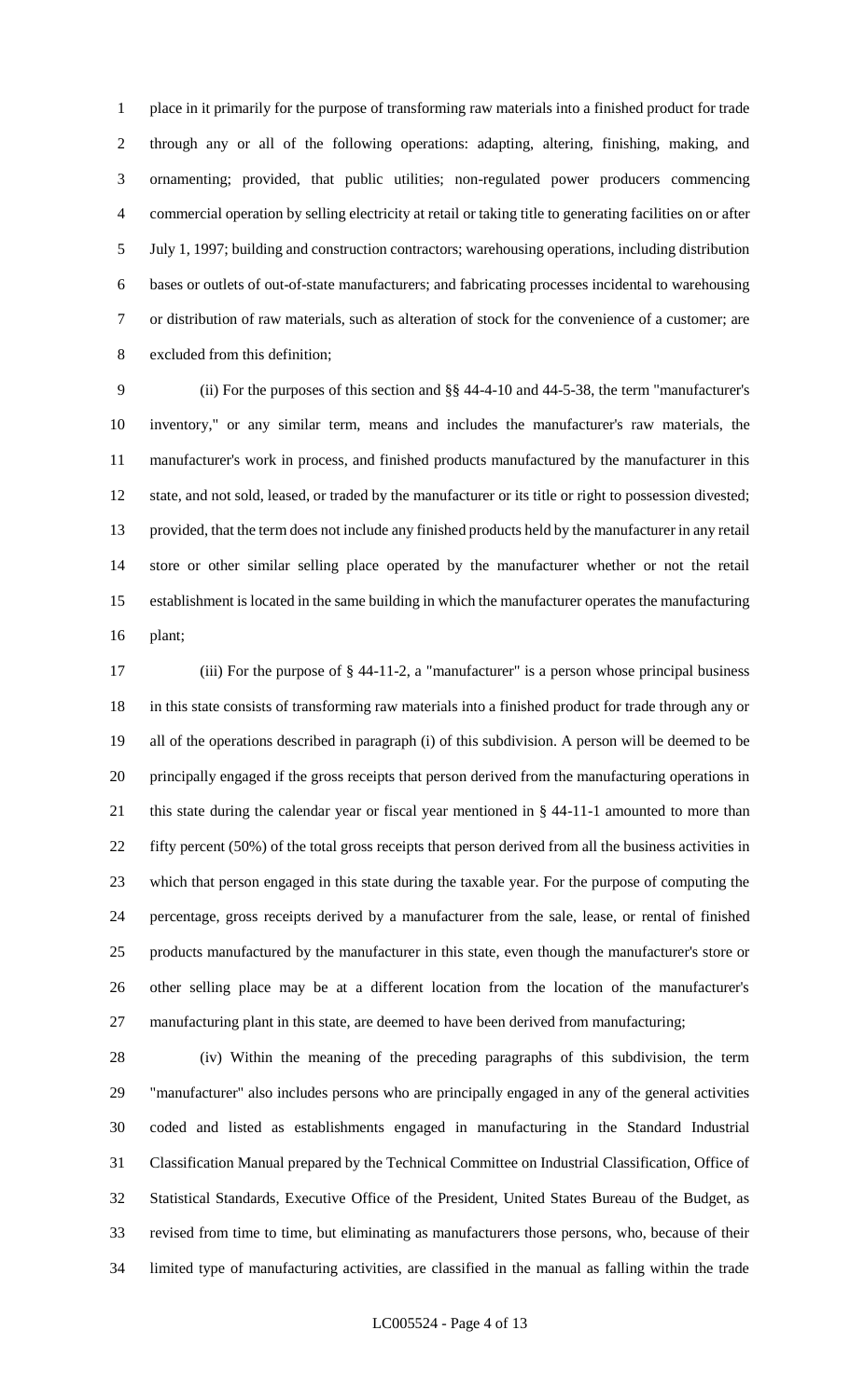place in it primarily for the purpose of transforming raw materials into a finished product for trade through any or all of the following operations: adapting, altering, finishing, making, and ornamenting; provided, that public utilities; non-regulated power producers commencing commercial operation by selling electricity at retail or taking title to generating facilities on or after July 1, 1997; building and construction contractors; warehousing operations, including distribution bases or outlets of out-of-state manufacturers; and fabricating processes incidental to warehousing or distribution of raw materials, such as alteration of stock for the convenience of a customer; are excluded from this definition;

 (ii) For the purposes of this section and §§ 44-4-10 and 44-5-38, the term "manufacturer's inventory," or any similar term, means and includes the manufacturer's raw materials, the manufacturer's work in process, and finished products manufactured by the manufacturer in this state, and not sold, leased, or traded by the manufacturer or its title or right to possession divested; provided, that the term does not include any finished products held by the manufacturer in any retail store or other similar selling place operated by the manufacturer whether or not the retail establishment is located in the same building in which the manufacturer operates the manufacturing plant;

 (iii) For the purpose of § 44-11-2, a "manufacturer" is a person whose principal business in this state consists of transforming raw materials into a finished product for trade through any or all of the operations described in paragraph (i) of this subdivision. A person will be deemed to be principally engaged if the gross receipts that person derived from the manufacturing operations in this state during the calendar year or fiscal year mentioned in § 44-11-1 amounted to more than fifty percent (50%) of the total gross receipts that person derived from all the business activities in which that person engaged in this state during the taxable year. For the purpose of computing the percentage, gross receipts derived by a manufacturer from the sale, lease, or rental of finished products manufactured by the manufacturer in this state, even though the manufacturer's store or other selling place may be at a different location from the location of the manufacturer's manufacturing plant in this state, are deemed to have been derived from manufacturing;

 (iv) Within the meaning of the preceding paragraphs of this subdivision, the term "manufacturer" also includes persons who are principally engaged in any of the general activities coded and listed as establishments engaged in manufacturing in the Standard Industrial Classification Manual prepared by the Technical Committee on Industrial Classification, Office of Statistical Standards, Executive Office of the President, United States Bureau of the Budget, as revised from time to time, but eliminating as manufacturers those persons, who, because of their limited type of manufacturing activities, are classified in the manual as falling within the trade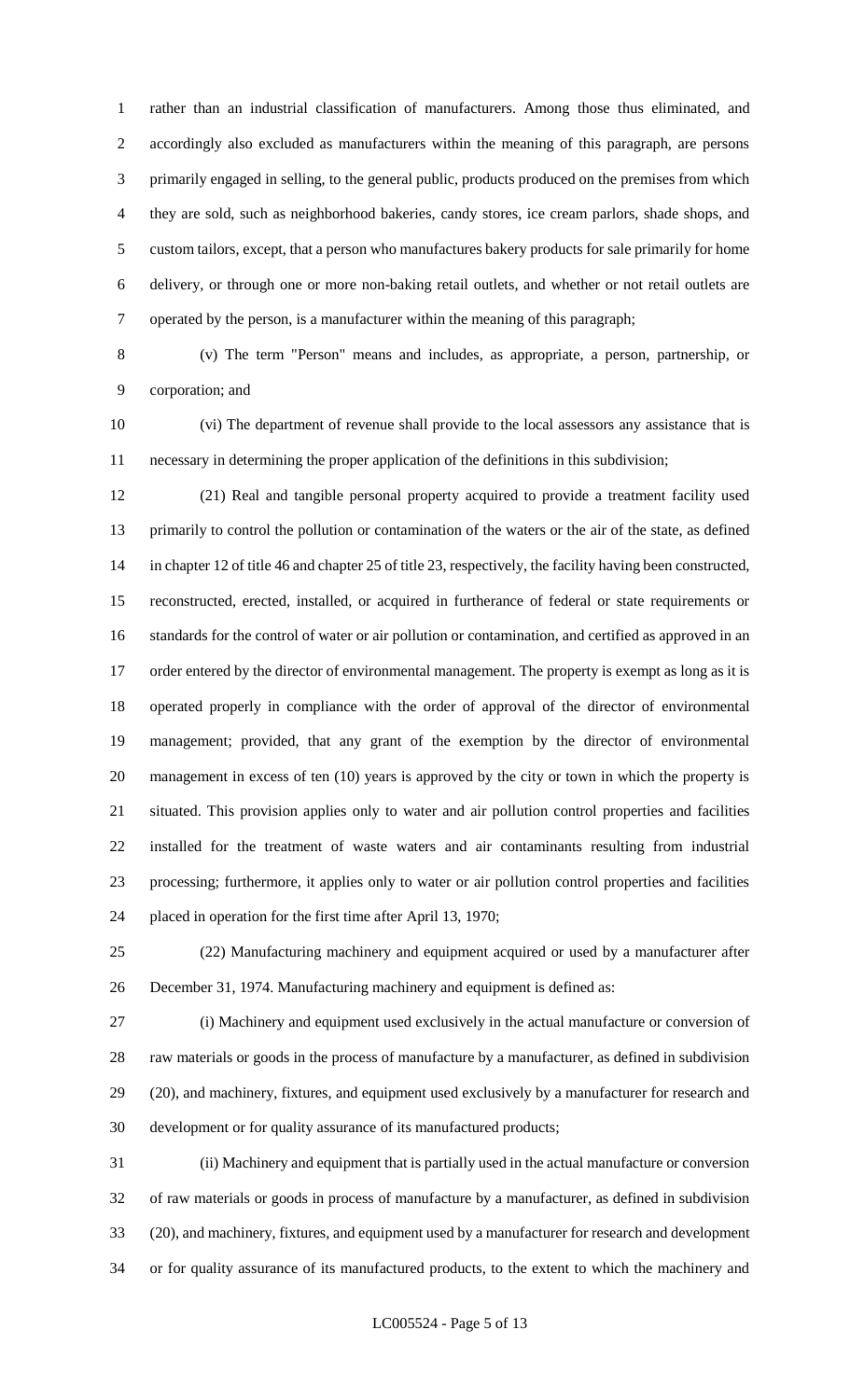rather than an industrial classification of manufacturers. Among those thus eliminated, and accordingly also excluded as manufacturers within the meaning of this paragraph, are persons primarily engaged in selling, to the general public, products produced on the premises from which they are sold, such as neighborhood bakeries, candy stores, ice cream parlors, shade shops, and custom tailors, except, that a person who manufactures bakery products for sale primarily for home delivery, or through one or more non-baking retail outlets, and whether or not retail outlets are operated by the person, is a manufacturer within the meaning of this paragraph;

 (v) The term "Person" means and includes, as appropriate, a person, partnership, or corporation; and

 (vi) The department of revenue shall provide to the local assessors any assistance that is necessary in determining the proper application of the definitions in this subdivision;

 (21) Real and tangible personal property acquired to provide a treatment facility used primarily to control the pollution or contamination of the waters or the air of the state, as defined in chapter 12 of title 46 and chapter 25 of title 23, respectively, the facility having been constructed, reconstructed, erected, installed, or acquired in furtherance of federal or state requirements or standards for the control of water or air pollution or contamination, and certified as approved in an 17 order entered by the director of environmental management. The property is exempt as long as it is operated properly in compliance with the order of approval of the director of environmental management; provided, that any grant of the exemption by the director of environmental management in excess of ten (10) years is approved by the city or town in which the property is situated. This provision applies only to water and air pollution control properties and facilities installed for the treatment of waste waters and air contaminants resulting from industrial processing; furthermore, it applies only to water or air pollution control properties and facilities placed in operation for the first time after April 13, 1970;

 (22) Manufacturing machinery and equipment acquired or used by a manufacturer after December 31, 1974. Manufacturing machinery and equipment is defined as:

 (i) Machinery and equipment used exclusively in the actual manufacture or conversion of raw materials or goods in the process of manufacture by a manufacturer, as defined in subdivision (20), and machinery, fixtures, and equipment used exclusively by a manufacturer for research and development or for quality assurance of its manufactured products;

 (ii) Machinery and equipment that is partially used in the actual manufacture or conversion of raw materials or goods in process of manufacture by a manufacturer, as defined in subdivision (20), and machinery, fixtures, and equipment used by a manufacturer for research and development or for quality assurance of its manufactured products, to the extent to which the machinery and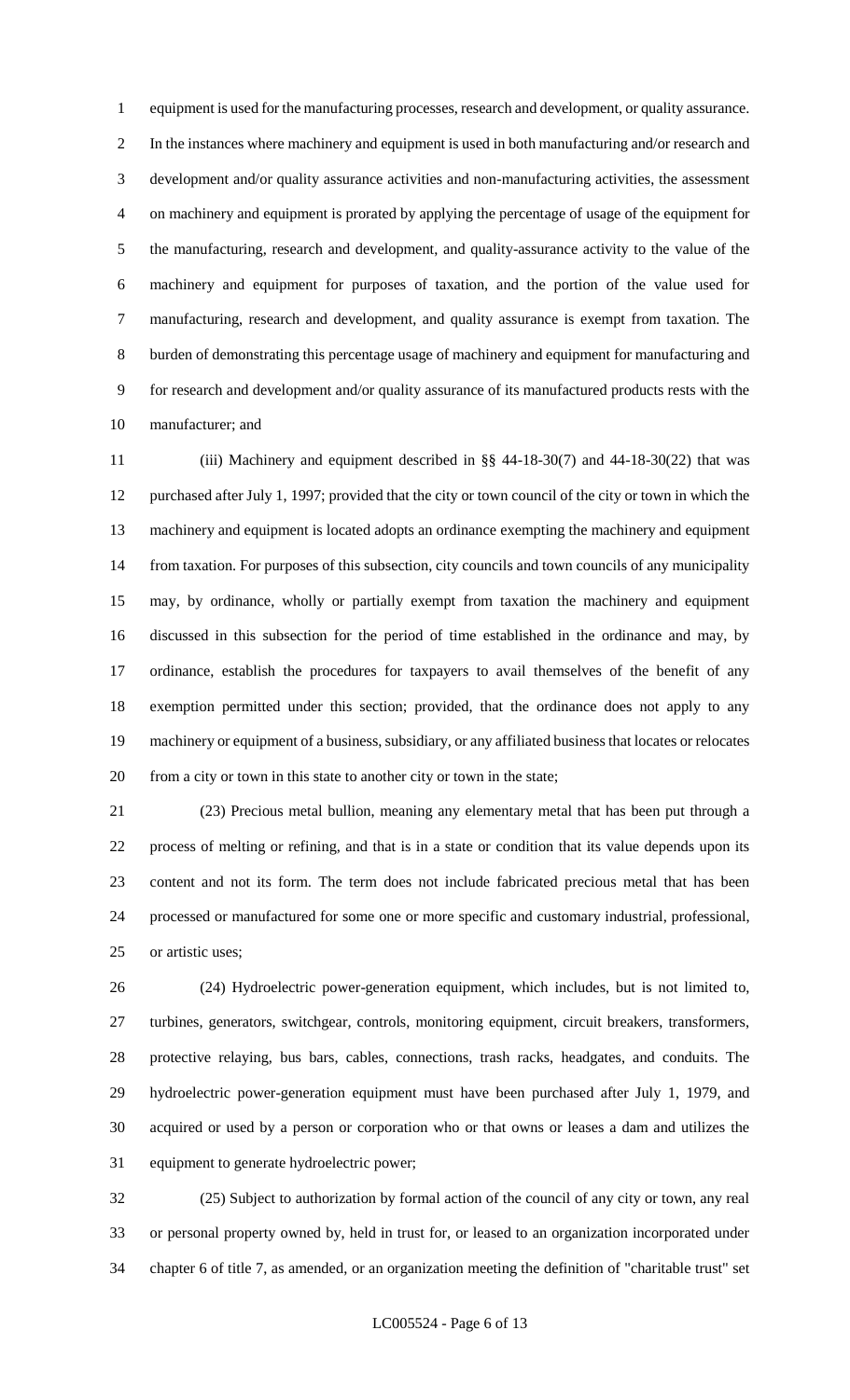equipment is used for the manufacturing processes, research and development, or quality assurance. In the instances where machinery and equipment is used in both manufacturing and/or research and development and/or quality assurance activities and non-manufacturing activities, the assessment on machinery and equipment is prorated by applying the percentage of usage of the equipment for the manufacturing, research and development, and quality-assurance activity to the value of the machinery and equipment for purposes of taxation, and the portion of the value used for manufacturing, research and development, and quality assurance is exempt from taxation. The burden of demonstrating this percentage usage of machinery and equipment for manufacturing and for research and development and/or quality assurance of its manufactured products rests with the manufacturer; and

 (iii) Machinery and equipment described in §§ 44-18-30(7) and 44-18-30(22) that was purchased after July 1, 1997; provided that the city or town council of the city or town in which the machinery and equipment is located adopts an ordinance exempting the machinery and equipment from taxation. For purposes of this subsection, city councils and town councils of any municipality may, by ordinance, wholly or partially exempt from taxation the machinery and equipment discussed in this subsection for the period of time established in the ordinance and may, by ordinance, establish the procedures for taxpayers to avail themselves of the benefit of any exemption permitted under this section; provided, that the ordinance does not apply to any machinery or equipment of a business, subsidiary, or any affiliated business that locates or relocates from a city or town in this state to another city or town in the state;

 (23) Precious metal bullion, meaning any elementary metal that has been put through a process of melting or refining, and that is in a state or condition that its value depends upon its content and not its form. The term does not include fabricated precious metal that has been processed or manufactured for some one or more specific and customary industrial, professional, or artistic uses;

 (24) Hydroelectric power-generation equipment, which includes, but is not limited to, turbines, generators, switchgear, controls, monitoring equipment, circuit breakers, transformers, protective relaying, bus bars, cables, connections, trash racks, headgates, and conduits. The hydroelectric power-generation equipment must have been purchased after July 1, 1979, and acquired or used by a person or corporation who or that owns or leases a dam and utilizes the equipment to generate hydroelectric power;

 (25) Subject to authorization by formal action of the council of any city or town, any real or personal property owned by, held in trust for, or leased to an organization incorporated under chapter 6 of title 7, as amended, or an organization meeting the definition of "charitable trust" set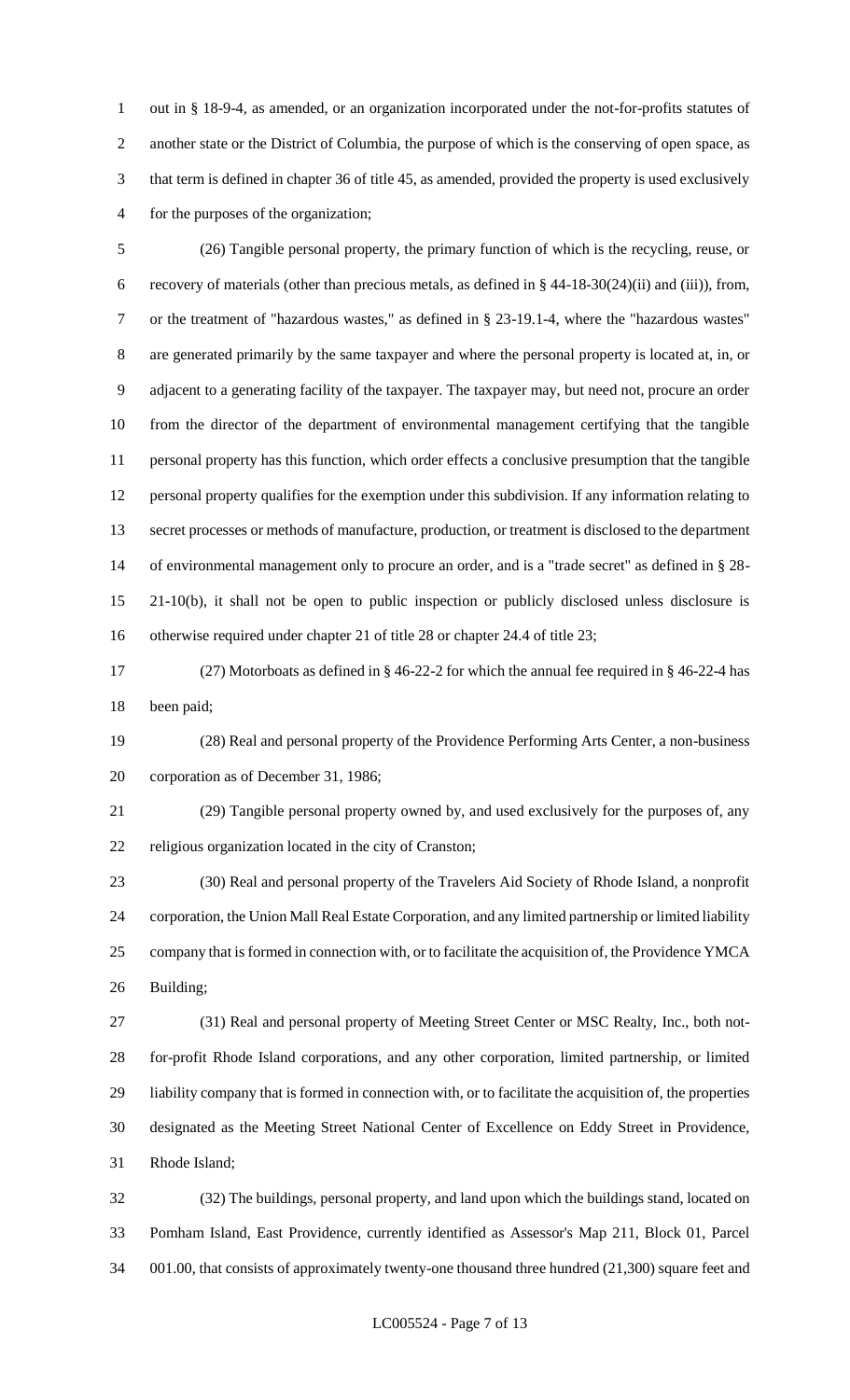out in § 18-9-4, as amended, or an organization incorporated under the not-for-profits statutes of another state or the District of Columbia, the purpose of which is the conserving of open space, as that term is defined in chapter 36 of title 45, as amended, provided the property is used exclusively for the purposes of the organization;

 (26) Tangible personal property, the primary function of which is the recycling, reuse, or recovery of materials (other than precious metals, as defined in § 44-18-30(24)(ii) and (iii)), from, or the treatment of "hazardous wastes," as defined in § 23-19.1-4, where the "hazardous wastes" are generated primarily by the same taxpayer and where the personal property is located at, in, or adjacent to a generating facility of the taxpayer. The taxpayer may, but need not, procure an order from the director of the department of environmental management certifying that the tangible personal property has this function, which order effects a conclusive presumption that the tangible personal property qualifies for the exemption under this subdivision. If any information relating to secret processes or methods of manufacture, production, or treatment is disclosed to the department of environmental management only to procure an order, and is a "trade secret" as defined in § 28- 21-10(b), it shall not be open to public inspection or publicly disclosed unless disclosure is otherwise required under chapter 21 of title 28 or chapter 24.4 of title 23;

 (27) Motorboats as defined in § 46-22-2 for which the annual fee required in § 46-22-4 has been paid;

 (28) Real and personal property of the Providence Performing Arts Center, a non-business corporation as of December 31, 1986;

 (29) Tangible personal property owned by, and used exclusively for the purposes of, any religious organization located in the city of Cranston;

 (30) Real and personal property of the Travelers Aid Society of Rhode Island, a nonprofit corporation, the Union Mall Real Estate Corporation, and any limited partnership or limited liability company that is formed in connection with, or to facilitate the acquisition of, the Providence YMCA Building;

 (31) Real and personal property of Meeting Street Center or MSC Realty, Inc., both not- for-profit Rhode Island corporations, and any other corporation, limited partnership, or limited liability company that is formed in connection with, or to facilitate the acquisition of, the properties designated as the Meeting Street National Center of Excellence on Eddy Street in Providence, Rhode Island;

 (32) The buildings, personal property, and land upon which the buildings stand, located on Pomham Island, East Providence, currently identified as Assessor's Map 211, Block 01, Parcel 001.00, that consists of approximately twenty-one thousand three hundred (21,300) square feet and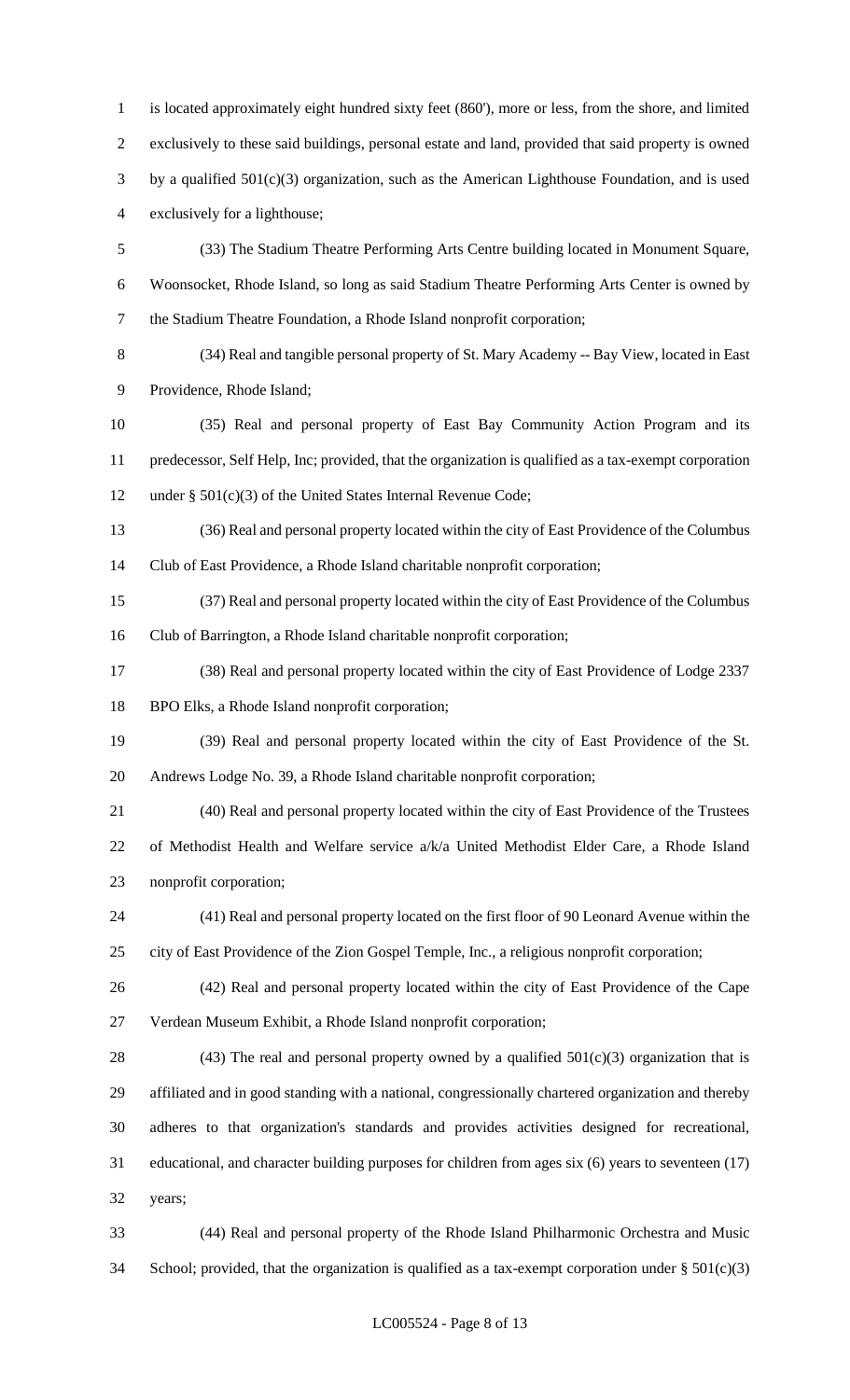is located approximately eight hundred sixty feet (860'), more or less, from the shore, and limited exclusively to these said buildings, personal estate and land, provided that said property is owned by a qualified 501(c)(3) organization, such as the American Lighthouse Foundation, and is used exclusively for a lighthouse; (33) The Stadium Theatre Performing Arts Centre building located in Monument Square, Woonsocket, Rhode Island, so long as said Stadium Theatre Performing Arts Center is owned by the Stadium Theatre Foundation, a Rhode Island nonprofit corporation;

 (34) Real and tangible personal property of St. Mary Academy -- Bay View, located in East Providence, Rhode Island;

 (35) Real and personal property of East Bay Community Action Program and its predecessor, Self Help, Inc; provided, that the organization is qualified as a tax-exempt corporation under § 501(c)(3) of the United States Internal Revenue Code;

 (36) Real and personal property located within the city of East Providence of the Columbus Club of East Providence, a Rhode Island charitable nonprofit corporation;

 (37) Real and personal property located within the city of East Providence of the Columbus Club of Barrington, a Rhode Island charitable nonprofit corporation;

 (38) Real and personal property located within the city of East Providence of Lodge 2337 BPO Elks, a Rhode Island nonprofit corporation;

 (39) Real and personal property located within the city of East Providence of the St. Andrews Lodge No. 39, a Rhode Island charitable nonprofit corporation;

 (40) Real and personal property located within the city of East Providence of the Trustees of Methodist Health and Welfare service a/k/a United Methodist Elder Care, a Rhode Island nonprofit corporation;

 (41) Real and personal property located on the first floor of 90 Leonard Avenue within the city of East Providence of the Zion Gospel Temple, Inc., a religious nonprofit corporation;

 (42) Real and personal property located within the city of East Providence of the Cape Verdean Museum Exhibit, a Rhode Island nonprofit corporation;

28 (43) The real and personal property owned by a qualified  $501(c)(3)$  organization that is affiliated and in good standing with a national, congressionally chartered organization and thereby adheres to that organization's standards and provides activities designed for recreational, educational, and character building purposes for children from ages six (6) years to seventeen (17) years;

 (44) Real and personal property of the Rhode Island Philharmonic Orchestra and Music 34 School; provided, that the organization is qualified as a tax-exempt corporation under  $\S 501(c)(3)$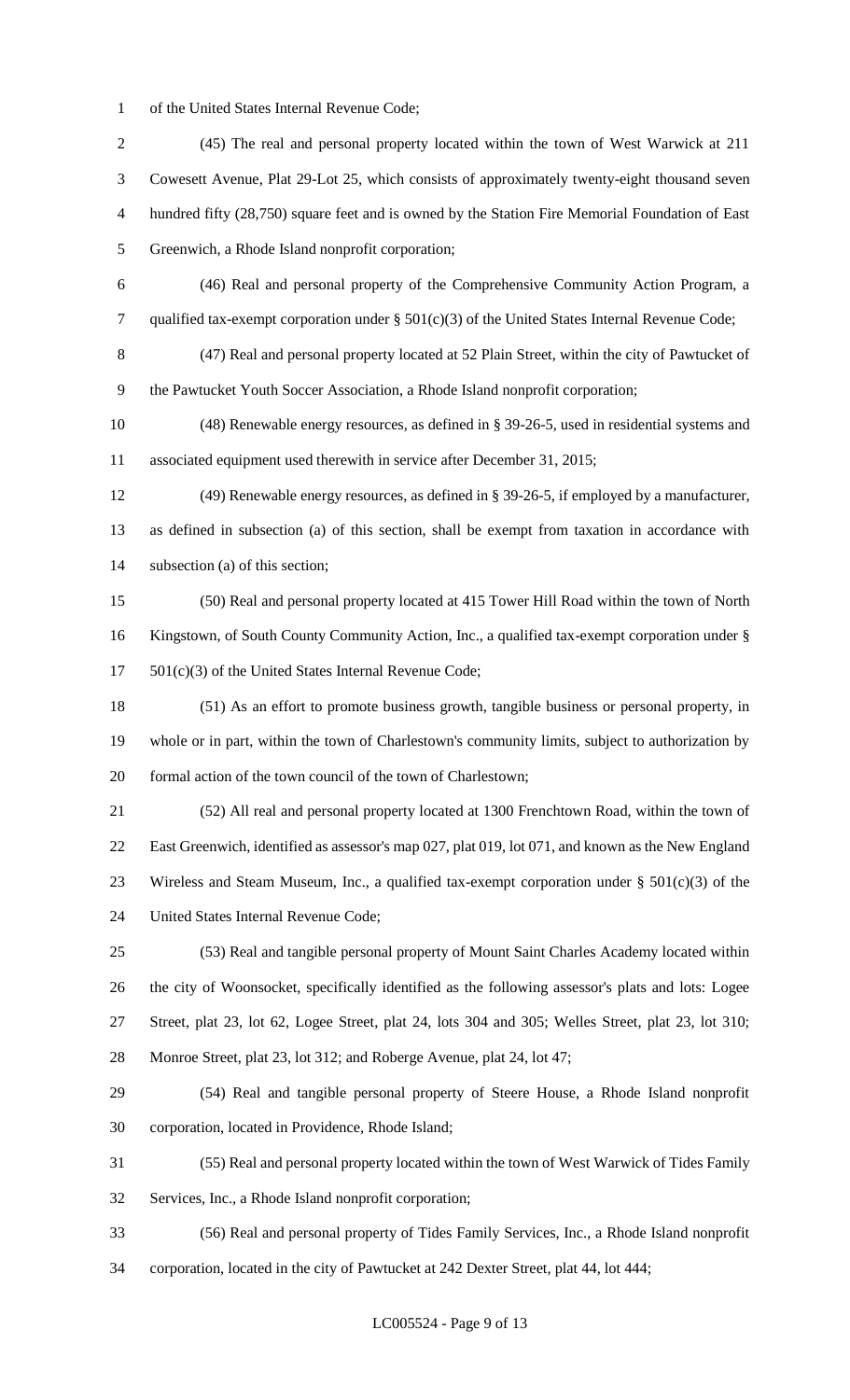of the United States Internal Revenue Code;

 (45) The real and personal property located within the town of West Warwick at 211 Cowesett Avenue, Plat 29-Lot 25, which consists of approximately twenty-eight thousand seven hundred fifty (28,750) square feet and is owned by the Station Fire Memorial Foundation of East Greenwich, a Rhode Island nonprofit corporation; (46) Real and personal property of the Comprehensive Community Action Program, a qualified tax-exempt corporation under § 501(c)(3) of the United States Internal Revenue Code; (47) Real and personal property located at 52 Plain Street, within the city of Pawtucket of the Pawtucket Youth Soccer Association, a Rhode Island nonprofit corporation; (48) Renewable energy resources, as defined in § 39-26-5, used in residential systems and associated equipment used therewith in service after December 31, 2015; (49) Renewable energy resources, as defined in § 39-26-5, if employed by a manufacturer, as defined in subsection (a) of this section, shall be exempt from taxation in accordance with subsection (a) of this section; (50) Real and personal property located at 415 Tower Hill Road within the town of North Kingstown, of South County Community Action, Inc., a qualified tax-exempt corporation under § 501(c)(3) of the United States Internal Revenue Code; (51) As an effort to promote business growth, tangible business or personal property, in whole or in part, within the town of Charlestown's community limits, subject to authorization by formal action of the town council of the town of Charlestown; (52) All real and personal property located at 1300 Frenchtown Road, within the town of East Greenwich, identified as assessor's map 027, plat 019, lot 071, and known as the New England 23 Wireless and Steam Museum, Inc., a qualified tax-exempt corporation under  $\S 501(c)(3)$  of the United States Internal Revenue Code; (53) Real and tangible personal property of Mount Saint Charles Academy located within the city of Woonsocket, specifically identified as the following assessor's plats and lots: Logee Street, plat 23, lot 62, Logee Street, plat 24, lots 304 and 305; Welles Street, plat 23, lot 310; Monroe Street, plat 23, lot 312; and Roberge Avenue, plat 24, lot 47; (54) Real and tangible personal property of Steere House, a Rhode Island nonprofit corporation, located in Providence, Rhode Island; (55) Real and personal property located within the town of West Warwick of Tides Family Services, Inc., a Rhode Island nonprofit corporation; (56) Real and personal property of Tides Family Services, Inc., a Rhode Island nonprofit corporation, located in the city of Pawtucket at 242 Dexter Street, plat 44, lot 444;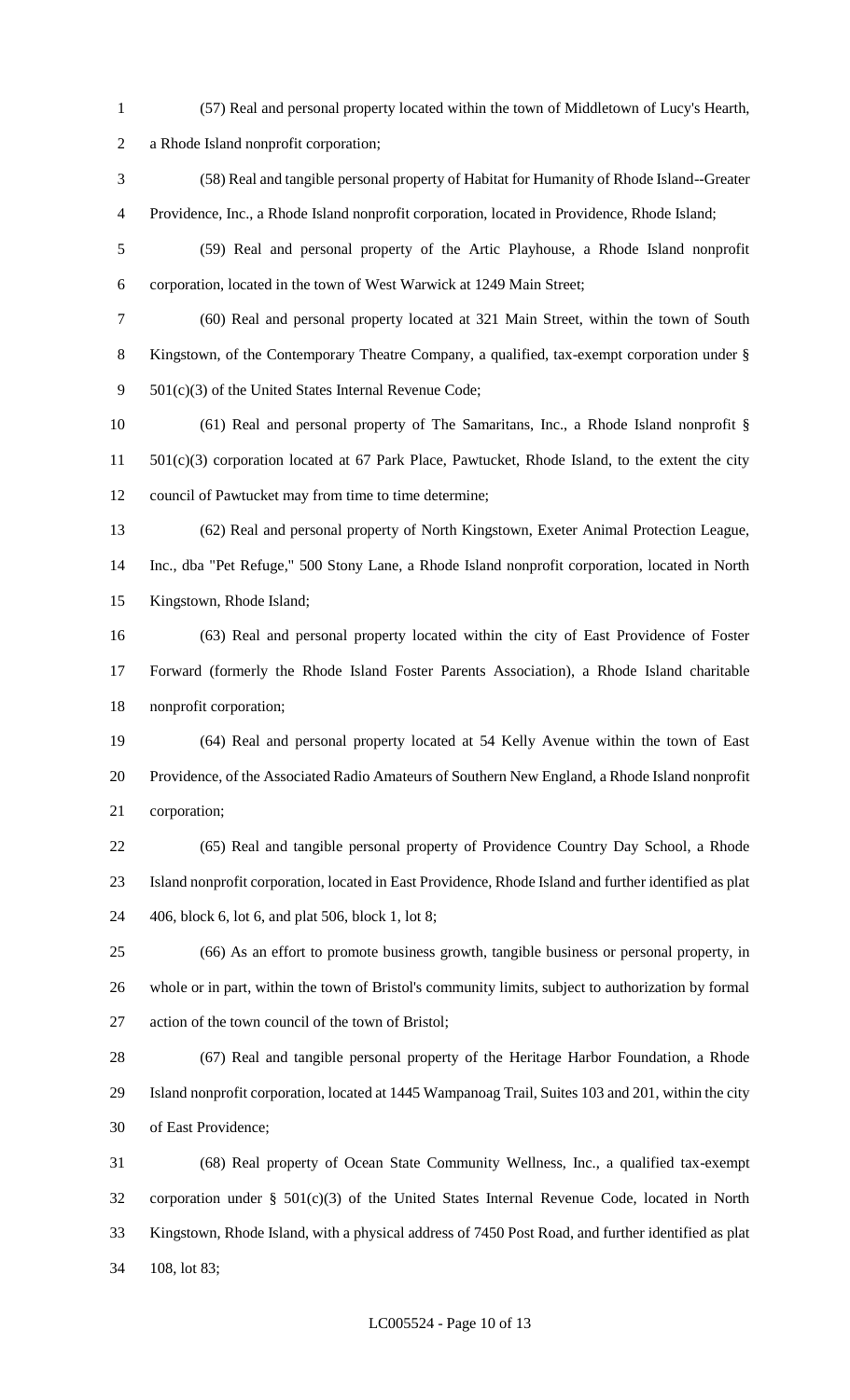- (57) Real and personal property located within the town of Middletown of Lucy's Hearth, a Rhode Island nonprofit corporation; (58) Real and tangible personal property of Habitat for Humanity of Rhode Island--Greater Providence, Inc., a Rhode Island nonprofit corporation, located in Providence, Rhode Island; (59) Real and personal property of the Artic Playhouse, a Rhode Island nonprofit corporation, located in the town of West Warwick at 1249 Main Street; (60) Real and personal property located at 321 Main Street, within the town of South Kingstown, of the Contemporary Theatre Company, a qualified, tax-exempt corporation under § 501(c)(3) of the United States Internal Revenue Code; (61) Real and personal property of The Samaritans, Inc., a Rhode Island nonprofit § 501(c)(3) corporation located at 67 Park Place, Pawtucket, Rhode Island, to the extent the city council of Pawtucket may from time to time determine; (62) Real and personal property of North Kingstown, Exeter Animal Protection League, Inc., dba "Pet Refuge," 500 Stony Lane, a Rhode Island nonprofit corporation, located in North Kingstown, Rhode Island; (63) Real and personal property located within the city of East Providence of Foster Forward (formerly the Rhode Island Foster Parents Association), a Rhode Island charitable nonprofit corporation; (64) Real and personal property located at 54 Kelly Avenue within the town of East Providence, of the Associated Radio Amateurs of Southern New England, a Rhode Island nonprofit corporation; (65) Real and tangible personal property of Providence Country Day School, a Rhode Island nonprofit corporation, located in East Providence, Rhode Island and further identified as plat 406, block 6, lot 6, and plat 506, block 1, lot 8; (66) As an effort to promote business growth, tangible business or personal property, in whole or in part, within the town of Bristol's community limits, subject to authorization by formal action of the town council of the town of Bristol; (67) Real and tangible personal property of the Heritage Harbor Foundation, a Rhode Island nonprofit corporation, located at 1445 Wampanoag Trail, Suites 103 and 201, within the city of East Providence; (68) Real property of Ocean State Community Wellness, Inc., a qualified tax-exempt corporation under § 501(c)(3) of the United States Internal Revenue Code, located in North Kingstown, Rhode Island, with a physical address of 7450 Post Road, and further identified as plat
- 108, lot 83;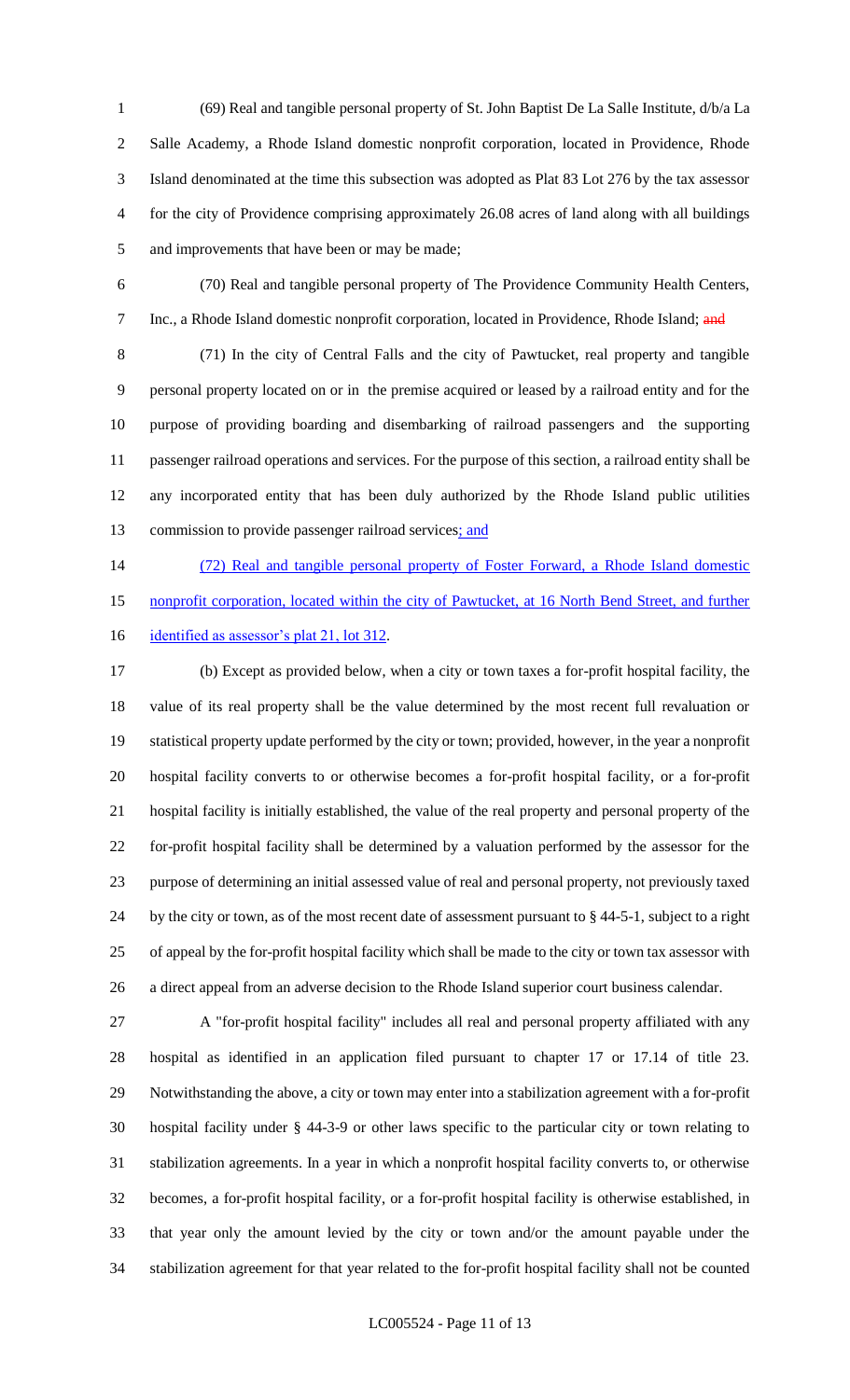(69) Real and tangible personal property of St. John Baptist De La Salle Institute, d/b/a La Salle Academy, a Rhode Island domestic nonprofit corporation, located in Providence, Rhode Island denominated at the time this subsection was adopted as Plat 83 Lot 276 by the tax assessor for the city of Providence comprising approximately 26.08 acres of land along with all buildings and improvements that have been or may be made;

 (70) Real and tangible personal property of The Providence Community Health Centers, 7 Inc., a Rhode Island domestic nonprofit corporation, located in Providence, Rhode Island; and

 (71) In the city of Central Falls and the city of Pawtucket, real property and tangible personal property located on or in the premise acquired or leased by a railroad entity and for the purpose of providing boarding and disembarking of railroad passengers and the supporting passenger railroad operations and services. For the purpose of this section, a railroad entity shall be any incorporated entity that has been duly authorized by the Rhode Island public utilities 13 commission to provide passenger railroad services; and

 (72) Real and tangible personal property of Foster Forward, a Rhode Island domestic 15 nonprofit corporation, located within the city of Pawtucket, at 16 North Bend Street, and further

16 identified as assessor's plat 21, lot 312.

 (b) Except as provided below, when a city or town taxes a for-profit hospital facility, the value of its real property shall be the value determined by the most recent full revaluation or statistical property update performed by the city or town; provided, however, in the year a nonprofit hospital facility converts to or otherwise becomes a for-profit hospital facility, or a for-profit hospital facility is initially established, the value of the real property and personal property of the for-profit hospital facility shall be determined by a valuation performed by the assessor for the purpose of determining an initial assessed value of real and personal property, not previously taxed by the city or town, as of the most recent date of assessment pursuant to § 44-5-1, subject to a right of appeal by the for-profit hospital facility which shall be made to the city or town tax assessor with a direct appeal from an adverse decision to the Rhode Island superior court business calendar.

 A "for-profit hospital facility" includes all real and personal property affiliated with any hospital as identified in an application filed pursuant to chapter 17 or 17.14 of title 23. Notwithstanding the above, a city or town may enter into a stabilization agreement with a for-profit hospital facility under § 44-3-9 or other laws specific to the particular city or town relating to stabilization agreements. In a year in which a nonprofit hospital facility converts to, or otherwise becomes, a for-profit hospital facility, or a for-profit hospital facility is otherwise established, in that year only the amount levied by the city or town and/or the amount payable under the stabilization agreement for that year related to the for-profit hospital facility shall not be counted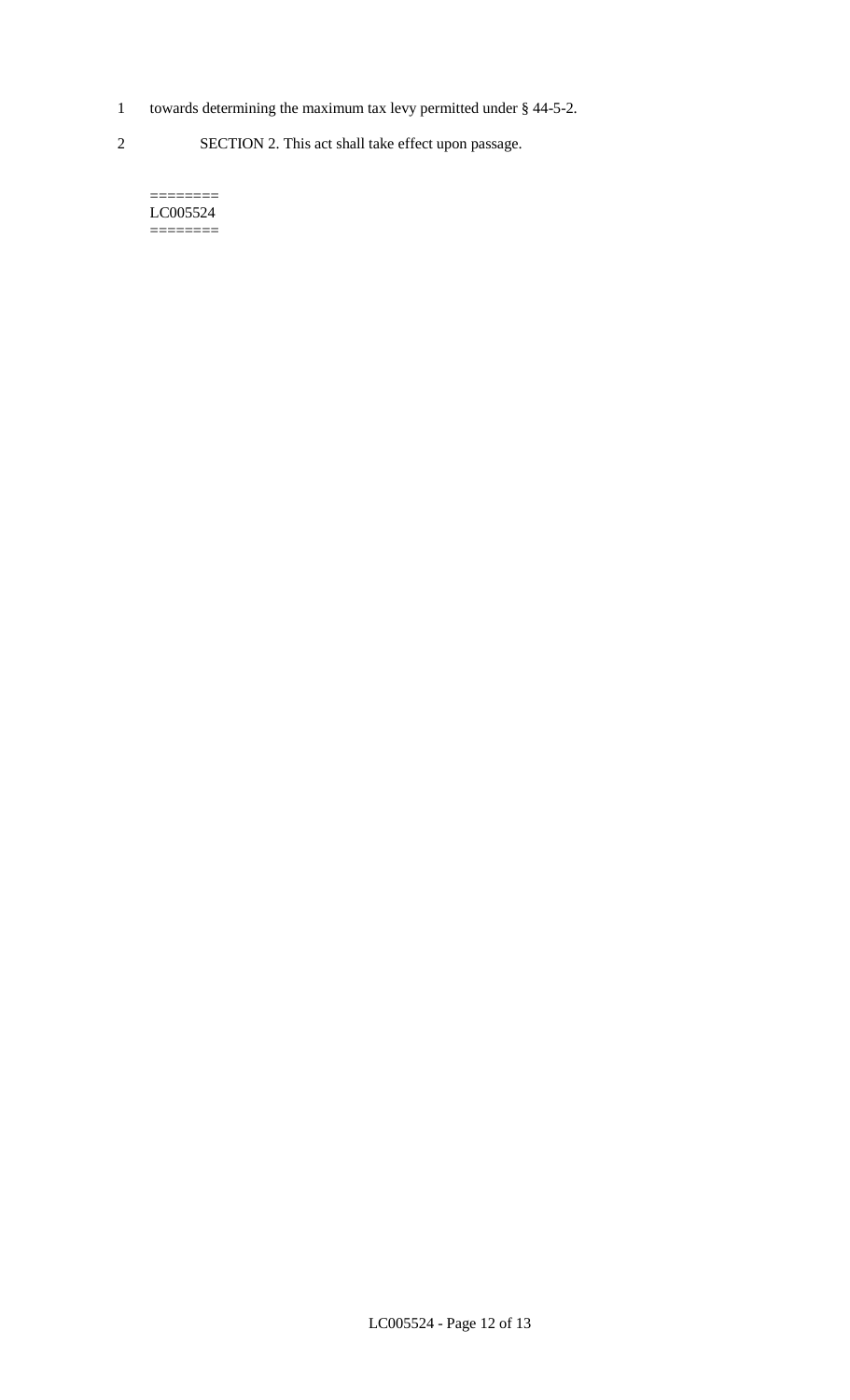- 1 towards determining the maximum tax levy permitted under § 44-5-2.
- 2 SECTION 2. This act shall take effect upon passage.

======== LC005524  $=$